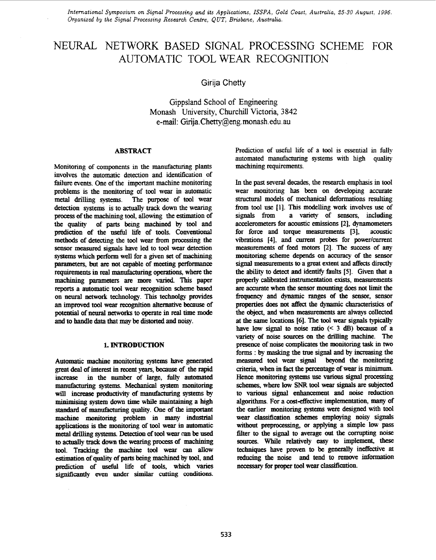*International Symposium on Signal Processing and its Applications, ISSPA, Gold Coast, Australia, 25-30 August, 1996. Organized* by *the Signal Processing Research Centre, QUT, Brisbane, Australia.* 

# NEURAL NETWORK BASED SIGNAL PROCESSING SCHEME FOR AUTOMATIC TOOL WEAR RECOGNITION

**Girija** Chetty

Gippsland School of Engineering Monash University, Churchill Victoria, **3842**  e-mail: Girija. Chetty@eng. monash. edu. au

### **ABSTRACT**

Monitoring of components in the manufacturing plants involves *the* automatic **detection and** identification **of**  failure events. One of the important machine monitoring problems is the monitoring of tool wear in automatic metal drilling systems. **The purpose** of tool wear **detection** systems is to actually track **down** the wearing **prooess** of **the** machining tool, allowing the **estimation** *of*  the **quality** of parts being machined **by** tool **and**  prediction of the nseful life of tools. Conventional **methods** *of detecting* the tool wear from pmcessing the sensor measured signals have led to tool wear detection systems which **perform** well for a given *set* of machining **parameters, but are** not capable of meeting performance systems which perform well for a given set of machining<br>parameters, but are not capable of meeting performance<br>requirements in real manufacturing operations, where the<br>machining commutation are manufactured. This manag machining parameters **are** more **varied. This** paper reports a automatic tool wear recognition scheme based **on neural** network technology. **This** technolgy **provides an** improved tool wear **recognition** alternative **because** of **potential ofneural networks** to operate in **real** time mode **and** to handle **data** that may **be** distorted **and noisy.** 

#### **1. INTRODUCTION**

Automatic machine monitoring systems have generated great deal *of* interest in recent years, because of the **rapid**  in the number of large, fully automated manufacturing systems. Mechanical *system* monitoring will increase productivity of manufacturing systems by **minimising** system **down time** while maintaining a **high**  standard of manufacturing quality. One of the important machine monitoring problem in many industrial **applications** is the monitoring of tool wear in automatic metal drilling *systems.* Detection **of** tool wear *can* **be** used to **actually tradr down** the wearing process *of* machining tool. Tracking the machine tool wear can allow estimation of quality of parts being machined by tool, and **prediction** of useful life *of* tools, which varies **significantly** *even* under simiiar *cutting* **conditions.** 

Prediction of useful life of a tool is essential in fully automated manufacturing systems with **high** quality machining requirements.

In the **past** several decades, the research emphasis in tool wear monitoring **has been** on developing accuate *structural* models of mechanical **deformations** resulting from tool use [1]. This modelling work involves use of signals from a variety of sensors, including **signals** from **a variety** of sensors, including accelerometers for acoustic emissions **[2],** dynamometers for force **and** torque measurements **[3],** acoustic vibrations [4], and current probes for power/current measurements *of* feed motors [2]. **Tbe** *success* of *any*  monitoring scheme depends **on** *accuracy* of the sensor **signal** measurements to a great extent **and affects** *directty*  the **ability** to detect **and** identify faults **151. Given** that a properly calibrated instrumentation exists, measurements **are** accurate **when** the **sensor** mounting **does** not limit **the**  *frequency* **and** dynarmc ranges *of* the sensor, **sensor**  properties **does** not **af€ect** the dynamic characteristics of **the** *object,* **and** when measurements **are** always collected at the same locations *[6].* The tool **wear** signals typically have low signal to noise ratio  $($   $<$   $\frac{3}{4}$  dB) because of a **variety** *of* **noise** *sources on* **the** drilling machine. The presence of **noise** complicates **the** monitoring **task** in two **forms** : **by** masking the true signal **and by** increasing **the**  measured tool wear **signal beyond** *the* monitoring criteria, when in fact the percentage of wear is minimum. Hence monitoring *systems* **use various** signal procesSing **schemes,** where low *SNR* tool wear **signals are** subjected to **various** signal enhancement **and noise reduction**  algorithms. For a cost-effective implementation, many of **the** earlier monitoring *systems* **were designed** with tool **weat classification schemes** employing *noisy* **signals**  without preprocessing, or applying a simple low pass filter to the signal to average out the corrupting noise sources. While relatively easy to implement, these tecbniques have proven to **be** generally ineffective **at**  reducing the noise and tend to remove information **necessary** for proper tool wear classification.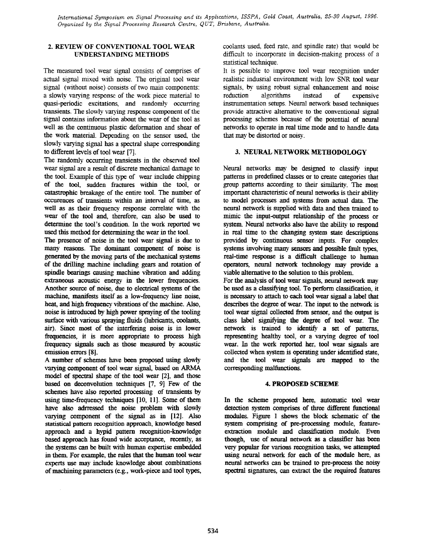*International Symposium on Signal Processing and its Applications, ISSPA, Gold Coast, Australia, 25-30 August, 1996. Organized by the Signal Processing Research Centre, &UT, Brisbane, Australia.* 

# **2. REVIEW OF CONVENTIONAL TOOL WEAR UNDERSTANDING METHODS**

The **measured** tool wear signal consists of comprises of actual signal *mixed* with noise. The original tool wear signal (without noise) **consists** of two main components: a slowly varylng **response** of the work piece material to quasi-periodic excitations, and randomly occurring transients. The slowly varying **response** component of the signal **contains** information about the wear of the tool **as**  well **as** the **continuous** plastic deformation and shear of the work material. Depending on the sensor used, the slowly varying signal has a spectral shape corresponding to different levels *of* tool **wear [7].** 

The randomly occurring transients in the observed tool wear signal are a result of discrete **mechanical** damage to the tool. Example of this type of wear include chipping of the tool, sudden fractures withm the tool, or catastrophic breakage of the entire tool. The number of occurences of transients within an interval of time, **as**  well as as their frequency response correlate with the wear of the tool and, therefore, *can* **also be** used to determine the tool's condition. In the **work** reported we **used this** method for determining the wear in **the** tool.

The presence of **noise** in the tool wear *signal* is due to *many* reasons. The dominant component *of* noise is generated by the moving parts of the mechanical systems of the **drilling** machine including gears and rotation of spindle bearings cawing machine vibration and adding extraneous acoustic energy in the lower frequencies. **Another** source *of* noise, **due** to electrical systems of **the**  machine, manifests itself as a low-frequency line noise, heat, and **high** ftequency **viirations** of the machine. Also, noise is introdnced **by high** power **spmying** *of* **the** tooling air). **Since** most of the interfering **noise** is in lower **fresuencies,** it is **more** appropriate to process **high**  fresuency **signals** such **as** those measured **by** acoustic emission errors **[8].**  surface with **various** *spraying* **fluids** (lubricants, ooolants,

A number of schemes have **been** proposed **using slowly**  varying component of tool wear *signal,* based on ARMA model of *specual* **shape** of the tool wear *[2],* and those based on deconvolution techniques [7, **91** Few of the schemes have also reported processing *of* transients **by using** time-frequency techniques **[lo, 111.** Some of them have **also** adrressed the **noise** problem with **slowly**  varying component of the *signal* **as** in **[12].** *Also*  statistical pattern recognition approach, knowledge based approach and a hypid pattem recognition-knowledge based approach has found wide acceptance, recently, **as**  the systems can be built with human expertise embedded in them. For example, the rules that the human tool wear experts **use** may include knowledge about combjnatons *of* machining parameters (e.g., work-piece and tool **types,**  coolants used, feed rate, and spindle rate) that would be difficult to incorporate in decision-making process of a **statistical** technique.

It is possible to improve tool wear recognition under realistic indusrial environment with low *SNR* tool wear **signals, by using** robust signal enhancement and noise reduction algorithms instead of expensive instrumentation setups. Neural network based techniques provide attractive alternative to **the** conventionai signal processing schemes because of the potential of neural networks to **operate** in real time mode and to handle **data**  that may **be** distorted or noisy.

# **3. NEURAL NETWORK METHODOLOGY**

Neural networks may **be** designed to classlfy input patterns in predefined classes or to create categories that group patterns according to their similarity. The most important characteristic of neural networks is their ability to model processes and **systems** from actual **data.** The neural network is supplied with **data** and then trained to mimic the input-output relationship of the process or system **Neural networks also** have the ability to respond in **real** time to the changing system state descriptions provided **by continuous sensor** inputs. For complex systems *iwohing* many *sensors* **and** possiile fault types, real-time response is a difticult challenge to human operators, **neural** network technology *may* provide a viable alternative to **the** solution to **this** problem

For the *aualysis* of tool **wear** *signals,* **neural** network *may*  be used **as** a classfylng tool. To **perform** classitication, it is **necessary** to attach **to** each tool **wear** signal a label that describes the degree of wear. The input to the network is tool wear **signal** collected from sensor, and the output is class label signifying the degree of tool wear. The network is trained to identify a set of patterns, representing healthy tool, or a varying degree of tool wear. In the work **reported** her, tool wear *signals* **are collected** when system is operating under identified state, and the tool wear **signals** are mapped to the **CorreSpoILding malfunctions.** 

#### **4. PROPOSED SCHEME**

In the scheme proposed here, automatic tool wear detection system *comprises* of three different **functional**  modules. Figure 1 **shows** the block schematic of the system comprising **of** pre-processing module, featureextraction module and classification module. **Even**  though, **use** of **neural** network **as** a classifier has **been very** popular for **various** recognition tasks, we attempted using neural **network** for each of the module here, **as**  neural **networks** *can* **be** trained to pre-process the **noisy**  spectral **signatures,** *can* extract the the **required** features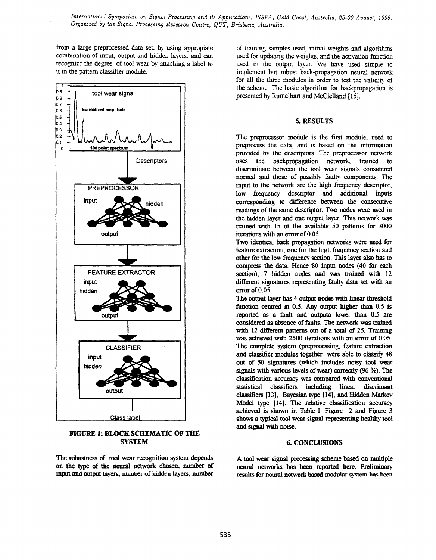*International Symposium on Signal Processing and its Applications, ISSPA, Gold Coast, Australia, 25-30 August, 1996. Organized by the Signal Processing Research Centre, QUT, Brisbane, Australia.* 

**from** a large preprocessed **data** set, **by** using appropiate combination of input **output and** hidden lavers, **and** *can*  recognize the degree of tool wear **by** attachmg a **label** to it in the pattern classifier module.



# **FIGURE 1: BLOCK SCHEMATIC OF THE SYSTEM**

The robnstness of tool **wear recognition** *system* **depends on** the type of the **neural** network chosen, number of input **and output** layers, **number of** hidden **layers, number** 

of training samples used. initial weights and algorithms **used** for updaung the weights. **and** the activation **function**  used in the **output** layer. We have **used** simple to implement but robust back-propagation neural network for all the three modules in order to test the validity of the scheme. The basic **algorithm** for backpropagation is presented by Rumelhart **and** McClelland [ **151.** 

# *5.* **RESULTS**

The preprocessor module is **the** first module, used to preprocess the **data,** and is **based** on the information provided **by** the descnptors. The preprocessor network uses the backpropagation network, trained to discriminate between the tool wear **signals** considered normal and those of possibly faulty components. The input to the network are the high frequency descriptor, **low frequency** descriptor and **additional** inputs corresponding to difference between the consecutive **readings** of **the,** same descriptor. Two nodes were **used** in the bidden layer and one output layer. **This** network **was**  *trained* with **15 of** the available 50 patterns for 3000 iterations **with an** error of **0.05.** 

Two **identical back** propagation **networks** were **used** for feature extraction, one for the **high fresuency** section **and**  other for **the** low *fresuency* **section. This** layer **also** has to compress the **data. Hence 80** input **nodes (40** for each **section),** 7 **hidden** nodes and was trained with **12**  different signatures representing **faulty data** set **with an**  error of *0.05.* 

The **output** layer **bas 4 output nodes** with **linear** threshold function centred at 0.5. Any output higher than 0.5 is **reported as a fault** and outputa lower **than 0.5 are**  considered **as absence** of Eduts. The **network was trained**  with 12 different patterns out of a total of 25. Training **was** achieved with **2500 iterations** with **an** error of 0.05. The complete system (preprocessing, feature extraction and classitier modules together **were** able to classify **48**  out of *50 signatures* (which includes **noisy** tool wear **signals** with various levels of wear) correctly (96 %). The classification accuracy **was compared** with conventional statistical classifiers including linear discrimant classifiers [13], **Bayesian** type **1141,** and Hidden **Markov**  Model **type [14].** The relative classification accuracy achieved is shown in Table I. Figure 2 and Figure 3 shows **a typical** tool wear signal representing healthy tool **and signal** with noise.

# *6.* **CONCLUSIONS**

A tool wear signal processing scheme based on multiple neural **networks has been reported** here. **Preliminary results** for **neural networkbased modular system has** been